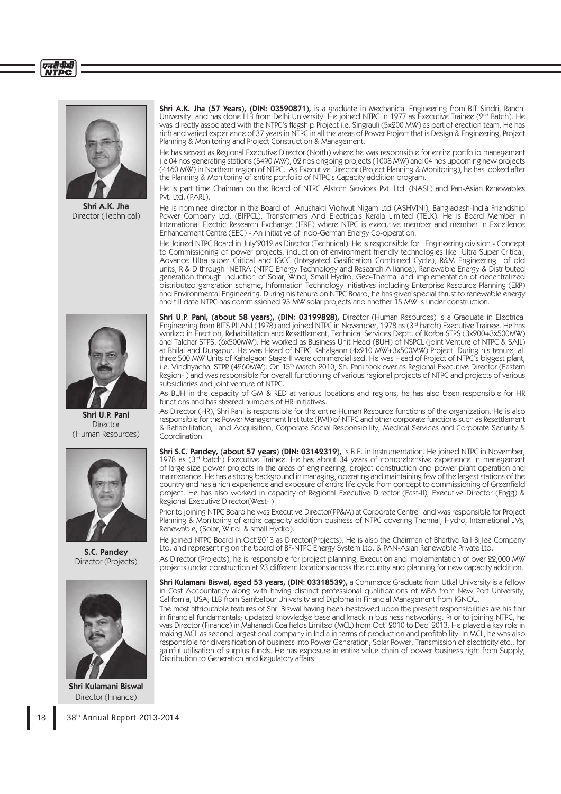## एनटीपीसी **NTDC**



Shri A.K. Jha Director (Technical)



Shri U.P. Pani **Director** (Human Resources)



S.C. Pandey Director (Projects)



Shri Kulamani Biswal Director (Finance)

Shri A.K. Jha (57 Years), (DIN: 03590871), is a graduate in Mechanical Engineering from BIT Sindri, Ranchi University and has done LLB from Delhi University. He joined NTPC in 1977 as Executive Trainee (2nd Batch). He was directly associated with the NTPC's flagship Project i.e. Singrauli (5x200 MW) as part of erection team. He has rich and varied experience of 37 years in NTPC in all the areas of Power Project that is Design & Engineering, Project Planning & Monitoring and Project Construction & Management.

He has served as Regional Executive Director (North) where he was responsible for entire portfolio management i.e 04 nos generating stations (5490 MW), 02 nos ongoing projects (1008 MW) and 04 nos upcoming new projects (4460 MW) in Northern region of NTPC. As Executive Director (Project Planning & Monitoring), he has looked after the Planning & Monitoring of entire portfolio of NTPC's Capacity addition program.

He is part time Chairman on the Board of NTPC Alstom Services Pvt. Ltd. (NASL) and Pan-Asian Renewables Pvt. Itd. (PARL).

He is nominee director in the Board of Anushakti Vidhyut Nigam Ltd (ASHVINI), Bangladesh-India Friendship Power Company Ltd. (BIFPCL), Transformers And Electricals Kerala Limited (TELK). He is Board Member in International Electric Research Exchange (IERE) where NTPC is executive member and member in Excellence Enhancement Centre (EEC) - An initiative of Indo-German Energy Co-operation.

He Joined NTPC Board in July'2012 as Director (Technical). He is responsible for Engineering division - Concept to Commissioning of power projects, induction of environment friendly technologies like Ultra Super Critical, Advance Ultra super Critical and IGCC (Integrated Gasification Combined Cycle), R&M Engineering of old units, R & D through NETRA (NTPC Energy Technology and Research Alliance), Renewable Energy & Distributed generation through induction of Solar, Wind, Small Hydro, Geo-Thermal and implementation of decentralized distributed generation scheme, Information Technology initiatives including Enterprise Resource Planning (ERP) and Environmental Engineering. During his tenure on NTPC Board, he has given special thrust to renewable energy and till date NTPC has commissioned 95 MW solar projects and another 15 MW is under construction.

Shri U.P. Pani, (about 58 years), (DIN: 03199828), Director (Human Resources) is a Graduate in Electrical Engineering from BITS PILANI (1978) and joined NTPC in November, 1978 as (3rd batch) Executive Trainee. He has worked in Erection, Rehabilitation and Resettlement, Technical Services Deptt. of Korba STPS (3x200+3x500MW) and Talchar STPS, (6x500MW). He worked as Business Unit Head (BUH) of NSPCL (joint Venture of NTPC & SAIL) at Bhilai and Durgapur. He was Head of NTPC Kahalgaon (4x210 MW+3x500MW) Project. During his tenure, all three 500 MW Units of Kahalgaon Stage-II were commercialised. He was Head of Project of NTPC's biggest plant, i.e. Vindhyachal STPP (4260MW). On 15<sup>th</sup> March 2010, Sh. Pani took over as Regional Executive Director (Eastern Region-I) and was responsible for overall functioning of various regional projects of NTPC and projects of various subsidiaries and joint venture of NTPC.

As BUH in the capacity of GM & RED at various locations and regions, he has also been responsible for HR functions and has steered numbers of HR initiatives.

As Director (HR), Shri Pani is responsible for the entire Human Resource functions of the organization. He is also responsible for the Power Management Institute (PMI) of NTPC and other corporate functions such as Resettlement & Rehabilitation, Land Acquisition, Corporate Social Responsibility, Medical Services and Corporate Security & Coordination.

Shri S.C. Pandey, (about 57 years) (DIN: 03142319), is B.E. in Instrumentation. He joined NTPC in November, 1978 as (3<sup>rd</sup> batch) Executive Trainee. He has about 34 years of comprehensive experience in management of large size power projects in the areas of engineering, project construction and power plant operation and maintenance. He has a strong background in managing, operating and maintaining few of the largest stations of the country and has a rich experience and exposure of entire life cycle from concept to commissioning of Greenfield project. He has also worked in capacity of Regional Executive Director (East-II), Executive Director (Engg) & Regional Executive Director(West-I)

Prior to joining NTPC Board he was Executive Director(PP&M) at Corporate Centre and was responsible for Project Planning & Monitoring of entire capacity addition business of NTPC covering Thermal, Hydro, International JVs, Renewable, (Solar, Wind & small Hydro).

He joined NTPC Board in Oct'2013 as Director(Projects). He is also the Chairman of Bhartiya Rail Bijlee Company Ltd. and representing on the board of BF-NTPC Energy System Ltd. & PAN-Asian Renewable Private Ltd.

As Director (Projects), he is responsible for project planning, Execution and implementation of over 22,000 MW projects under construction at 23 different locations across the country and planning for new capacity addition.

Shri Kulamani Biswal, aged 53 years, (DIN: 03318539), a Commerce Graduate from Utkal University is a fellow in Cost Accountancy along with having distinct professional qualifications of MBA from New Port University, California, USA; LLB from Sambalpur University and Diploma in Financial Management from IGNOU.

The most attributable features of Shri Biswal having been bestowed upon the present responsibilities are his flair in financial fundamentals; updated knowledge base and knack in business networking. Prior to joining NTPC, he was Director (Finance) in Mahanadi Coalfields Limited (MCL) from Oct' 2010 to Dec' 2013. He played a key role in making MCL as second largest coal company in India in terms of production and profitability. In MCL, he was also responsible for diversification of business into Power Generation, Solar Power, Transmission of electricity etc., for gainful utilisation of surplus funds. He has exposure in entire value chain of power business right from Supply, Distribution to Generation and Regulatory affairs.

18 38<sup>th</sup> Annual Report 2013-2014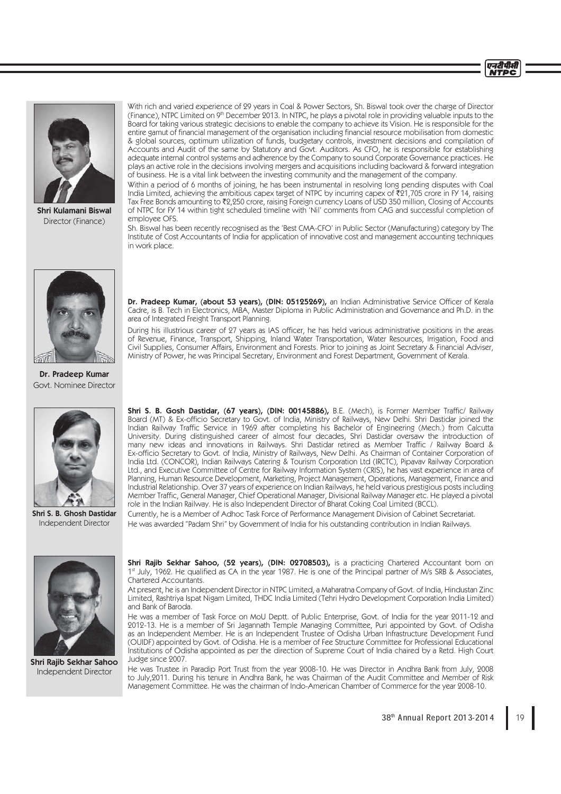



Shri Kulamani Biswal Director (Finance)

With rich and varied experience of 29 years in Coal & Power Sectors, Sh. Biswal took over the charge of Director (Finance), NTPC Limited on 9th December 2013. In NTPC, he plays a pivotal role in providing valuable inputs to the Board for taking various strategic decisions to enable the company to achieve its Vision. He is responsible for the entire gamut of financial management of the organisation including financial resource mobilisation from domestic & global sources, optimum utilization of funds, budgetary controls, investment decisions and compilation of Accounts and Audit of the same by Statutory and Govt. Auditors. As CFO, he is responsible for establishing adequate internal control systems and adherence by the Company to sound Corporate Governance practices. He plays an active role in the decisions involving mergers and acquisitions including backward & forward integration of business. He is a vital link between the investing community and the management of the company.

Within a period of 6 months of joining, he has been instrumental in resolving long pending disputes with Coal India Limited, achieving the ambitious capex target of NTPC by incurring capex of  $\bar{\xi}$ 21,705 crore in FY 14, raising Tax Free Bonds amounting to ₹2,250 crore, raising Foreign currency Loans of USD 350 million, Closing of Accounts of NTPC for FY 14 within tight scheduled timeline with 'Nil' comments from CAG and successful completion of employee OFS.

Sh. Biswal has been recently recognised as the 'Best CMA-CFO' in Public Sector (Manufacturing) category by The Institute of Cost Accountants of India for application of innovative cost and management accounting techniques in work place.



Dr. Pradeep Kumar, (about 53 years), (DIN: 05125269), an Indian Administrative Service Officer of Kerala Cadre, is B. Tech in Electronics, MBA, Master Diploma in Public Administration and Governance and Ph.D. in the area of Integrated Freight Transport Planning.

During his illustrious career of 27 years as IAS officer, he has held various administrative positions in the areas of Revenue, Finance, Transport, Shipping, Inland Water Transportation, Water Resources, Irrigation, Food and Civil Supplies, Consumer Affairs, Environment and Forests. Prior to joining as Joint Secretary & Financial Adviser, Ministry of Power, he was Principal Secretary, Environment and Forest Department, Government of Kerala.

Dr. Pradeep Kumar Govt. Nominee Director



Shri S. B. Ghosh Dastidar Independent Director

Shri S. B. Gosh Dastidar, (67 years), (DIN: 00145886), B.E. (Mech), is Former Member Traffic/ Railway Board (MT) & Ex-officio Secretary to Govt. of India, Ministry of Railways, New Delhi. Shri Dastidar joined the Indian Railway Traffic Service in 1969 after completing his Bachelor of Engineering (Mech.) from Calcutta University. During distinguished career of almost four decades, Shri Dastidar oversaw the introduction of many new ideas and innovations in Railways. Shri Dastidar retired as Member Traffic / Railway Board & Ex-officio Secretary to Govt. of India, Ministry of Railways, New Delhi. As Chairman of Container Corporation of India Ltd. (CONCOR), Indian Railways Catering & Tourism Corporation Ltd (IRCTC), Pipavav Railway Corporation Ltd., and Executive Committee of Centre for Railway Information System (CRIS), he has vast experience in area of Planning, Human Resource Development, Marketing, Project Management, Operations, Management, Finance and Industrial Relationship. Over 37 years of experience on Indian Railways, he held various prestigious posts including Member Traffic, General Manager, Chief Operational Manager, Divisional Railway Manager etc. He played a pivotal role in the Indian Railway. He is also Independent Director of Bharat Coking Coal Limited (BCCL).

Currently, he is a Member of Adhoc Task Force of Performance Management Division of Cabinet Secretariat. He was awarded "Padam Shri" by Government of India for his outstanding contribution in Indian Railways.



Shri Rajib Sekhar Sahoo Independent Director

Shri Rajib Sekhar Sahoo, (52 years), (DIN: 02708503), is a practicing Chartered Accountant born on 1<sup>st</sup> July, 1962. He qualified as CA in the year 1987. He is one of the Principal partner of M/s SRB & Associates, Chartered Accountants.

At present, he is an Independent Director in NTPC Limited, a Maharatna Company of Govt. of India, Hindustan Zinc Limited, Rashtriya Ispat Nigam Limited, THDC India Limited (Tehri Hydro Development Corporation India Limited) and Bank of Baroda.

He was a member of Task Force on MoU Deptt. of Public Enterprise, Govt. of India for the year 2011-12 and 2012-13. He is a member of Sri Jagannath Temple Managing Committee, Puri appointed by Govt. of Odisha as an Independent Member. He is an Independent Trustee of Odisha Urban Infrastructure Development Fund (OUIDF) appointed by Govt. of Odisha. He is a member of Fee Structure Committee for Professional Educational Institutions of Odisha appointed as per the direction of Supreme Court of India chaired by a Retd. High Court Judge since 2007.

He was Trustee in Paradip Port Trust from the year 2008-10. He was Director in Andhra Bank from July, 2008 to July,2011. During his tenure in Andhra Bank, he was Chairman of the Audit Committee and Member of Risk Management Committee. He was the chairman of Indo-American Chamber of Commerce for the year 2008-10.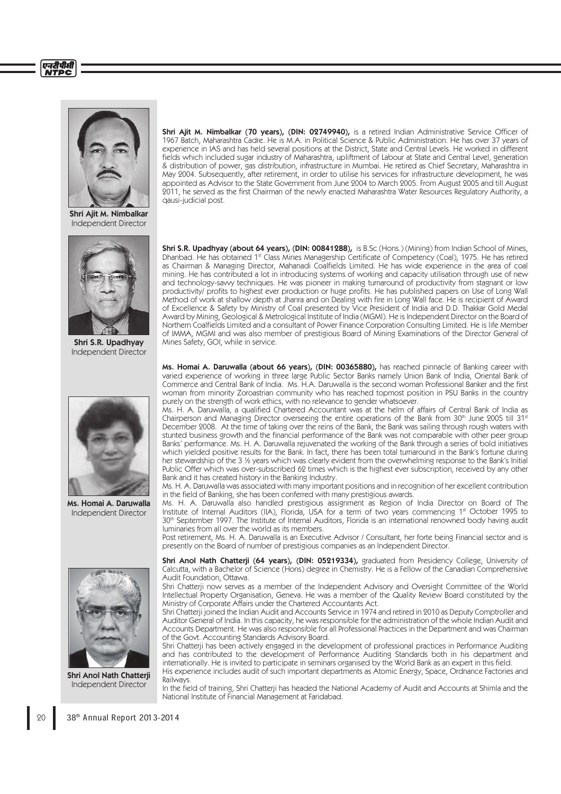

Shri Ajit M. Nimbalkar Independent Director



Shri S.R. Upadhyay Independent Director



Ms. Homai A. Daruwalla Independent Director



Shri Anol Nath Chatterji Independent Director

Shri Ajit M. Nimbalkar (70 years), (DIN: 02749940), is a retired Indian Administrative Service Officer of 1967 Batch, Maharashtra Cadre. He is M.A. in Political Science & Public Administration. He has over 37 years of experience in IAS and has held several positions at the District, State and Central Levels. He worked in different fields which included sugar industry of Maharashtra, upliftment of Labour at State and Central Level, generation & distribution of power, gas distribution, infrastructure in Mumbai. He retired as Chief Secretary, Maharashtra in May 2004. Subsequently, after retirement, in order to utilise his services for infrastructure development, he was appointed as Advisor to the State Government from June 2004 to March 2005. From August 2005 and till August 2011, he served as the first Chairman of the newly enacted Maharashtra Water Resources Regulatory Authority, a qausi-judicial post.

**Shri S.R. Upadhyay (about 64 years), (DIN: 00841288),** is B.Sc (Hons.) (Mining) from Indian School of Mines, Dhanbad. He has obtained 1st Class Mines Managership Certificate of Competency (Coal), 1975. He has retired as Chairman & Managing Director, Mahanadi Coalfields Limited. He has wide experience in the area of coal mining. He has contributed a lot in introducing systems of working and capacity utilisation through use of new and technology-savvy techniques. He was pioneer in making turnaround of productivity from stagnant or low productivity/ profits to highest ever production or huge profits. He has published papers on Use of Long Wall Method of work at shallow depth at Jhanra and on Dealing with fire in Long Wall face. He is recipient of Award of Excellence & Safety by Ministry of Coal presented by Vice President of India and D.D. Thakkar Gold Medal Award by Mining, Geological & Metrological Institute of India (MGMI). He is Independent Director on the Board of Northern Coalfields Limited and a consultant of Power Finance Corporation Consulting Limited. He is life Member of IMMA, MGMI and was also member of prestigious Board of Mining Examinations of the Director General of Mines Safety, GOI, while in service.

Ms. Homai A. Daruwalla (about 66 years), (DIN: 00365880), has reached pinnacle of Banking career with varied experience of working in three large Public Sector Banks namely Union Bank of India, Oriental Bank of Commerce and Central Bank of India. Ms. H.A. Daruwalla is the second woman Professional Banker and the first woman from minority Zoroastrian community who has reached topmost position in PSU Banks in the country purely on the strength of work ethics, with no relevance to gender whatsoever.

Ms. H. A. Daruwalla, a qualified Chartered Accountant was at the helm of affairs of Central Bank of India as Chairperson and Managing Director overseeing the entire operations of the Bank from 30<sup>th</sup> June 2005 till 31<sup>st</sup> December 2008. At the time of taking over the reins of the Bank, the Bank was sailing through rough waters with stunted business growth and the financial performance of the Bank was not comparable with other peer group Banks' performance. Ms. H. A. Daruwalla rejuvenated the working of the Bank through a series of bold initiatives which yielded positive results for the Bank. In fact, there has been total turnaround in the Bank's fortune during her stewardship of the 3 ½ years which was clearly evident from the overwhelming response to the Bank's Initial Public Offer which was over-subscribed 62 times which is the highest ever subscription, received by any other Bank and it has created history in the Banking Industry.

Ms. H. A. Daruwalla was associated with many important positions and in recognition of her excellent contribution in the field of Banking, she has been conferred with many prestigious awards.

Ms. H. A. Daruwalla also handled prestigious assignment as Region of India Director on Board of The Institute of Internal Auditors (IIA), Florida, USA for a term of two years commencing 1st October 1995 to 30th September 1997. The Institute of Internal Auditors, Florida is an international renowned body having audit luminaries from all over the world as its members.

Post retirement, Ms. H. A. Daruwalla is an Executive Advisor / Consultant, her forte being Financial sector and is presently on the Board of number of prestigious companies as an Independent Director.

Shri Anol Nath Chatterji (64 years), (DIN: 05219334), graduated from Presidency College, University of Calcutta, with a Bachelor of Science (Hons) degree in Chemistry. He is a Fellow of the Canadian Comprehensive Audit Foundation, Ottawa.

Shri Chatterji now serves as a member of the Independent Advisory and Oversight Committee of the World Intellectual Property Organisation, Geneva. He was a member of the Quality Review Board constituted by the Ministry of Corporate Affairs under the Chartered Accountants Act.

Shri Chatterji joined the Indian Audit and Accounts Service in 1974 and retired in 2010 as Deputy Comptroller and Auditor General of India. In this capacity, he was responsible for the administration of the whole Indian Audit and Accounts Department. He was also responsible for all Professional Practices in the Department and was Chairman of the Govt. Accounting Standards Advisory Board.

Shri Chatterji has been actively engaged in the development of professional practices in Performance Auditing and has contributed to the development of Performance Auditing Standards both in his department and internationally. He is invited to participate in seminars organised by the World Bank as an expert in this field. His experience includes audit of such important departments as Atomic Energy, Space, Ordnance Factories and Railways.

In the field of training, Shri Chatterji has headed the National Academy of Audit and Accounts at Shimla and the National Institute of Financial Management at Faridabad.